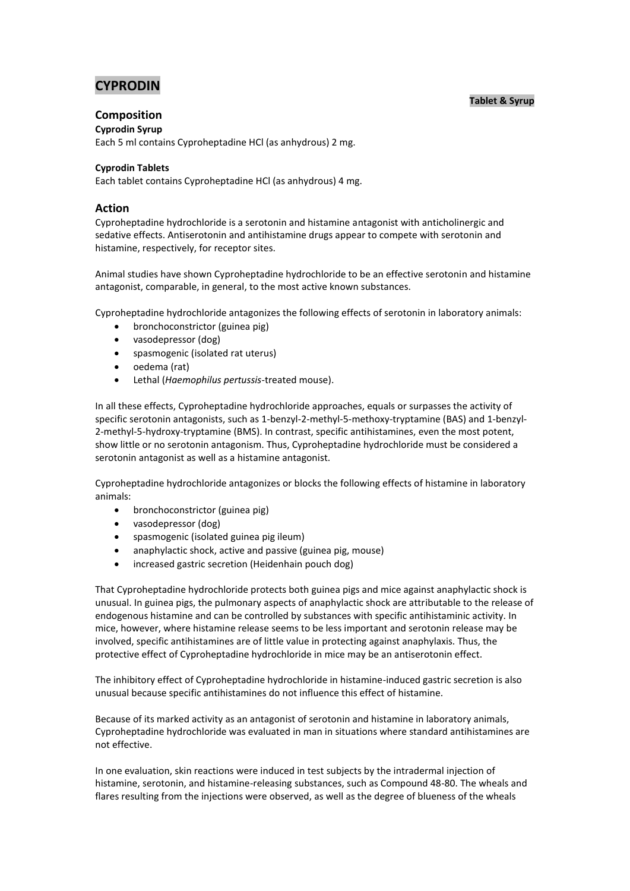# **CYPRODIN**

## **Tablet & Syrup**

## **Composition**

**Cyprodin Syrup**

Each 5 ml contains Cyproheptadine HCl (as anhydrous) 2 mg.

## **Cyprodin Tablets**

Each tablet contains Cyproheptadine HCl (as anhydrous) 4 mg.

## **Action**

Cyproheptadine hydrochloride is a serotonin and histamine antagonist with anticholinergic and sedative effects. Antiserotonin and antihistamine drugs appear to compete with serotonin and histamine, respectively, for receptor sites.

Animal studies have shown Cyproheptadine hydrochloride to be an effective serotonin and histamine antagonist, comparable, in general, to the most active known substances.

Cyproheptadine hydrochloride antagonizes the following effects of serotonin in laboratory animals:

- bronchoconstrictor (guinea pig)
- vasodepressor (dog)
- spasmogenic (isolated rat uterus)
- oedema (rat)
- Lethal (*Haemophilus pertussis*-treated mouse).

In all these effects, Cyproheptadine hydrochloride approaches, equals or surpasses the activity of specific serotonin antagonists, such as 1-benzyl-2-methyl-5-methoxy-tryptamine (BAS) and 1-benzyl-2-methyl-5-hydroxy-tryptamine (BMS). In contrast, specific antihistamines, even the most potent, show little or no serotonin antagonism. Thus, Cyproheptadine hydrochloride must be considered a serotonin antagonist as well as a histamine antagonist.

Cyproheptadine hydrochloride antagonizes or blocks the following effects of histamine in laboratory animals:

- bronchoconstrictor (guinea pig)
- vasodepressor (dog)
- spasmogenic (isolated guinea pig ileum)
- anaphylactic shock, active and passive (guinea pig, mouse)
- increased gastric secretion (Heidenhain pouch dog)

That Cyproheptadine hydrochloride protects both guinea pigs and mice against anaphylactic shock is unusual. In guinea pigs, the pulmonary aspects of anaphylactic shock are attributable to the release of endogenous histamine and can be controlled by substances with specific antihistaminic activity. In mice, however, where histamine release seems to be less important and serotonin release may be involved, specific antihistamines are of little value in protecting against anaphylaxis. Thus, the protective effect of Cyproheptadine hydrochloride in mice may be an antiserotonin effect.

The inhibitory effect of Cyproheptadine hydrochloride in histamine-induced gastric secretion is also unusual because specific antihistamines do not influence this effect of histamine.

Because of its marked activity as an antagonist of serotonin and histamine in laboratory animals, Cyproheptadine hydrochloride was evaluated in man in situations where standard antihistamines are not effective.

In one evaluation, skin reactions were induced in test subjects by the intradermal injection of histamine, serotonin, and histamine-releasing substances, such as Compound 48-80. The wheals and flares resulting from the injections were observed, as well as the degree of blueness of the wheals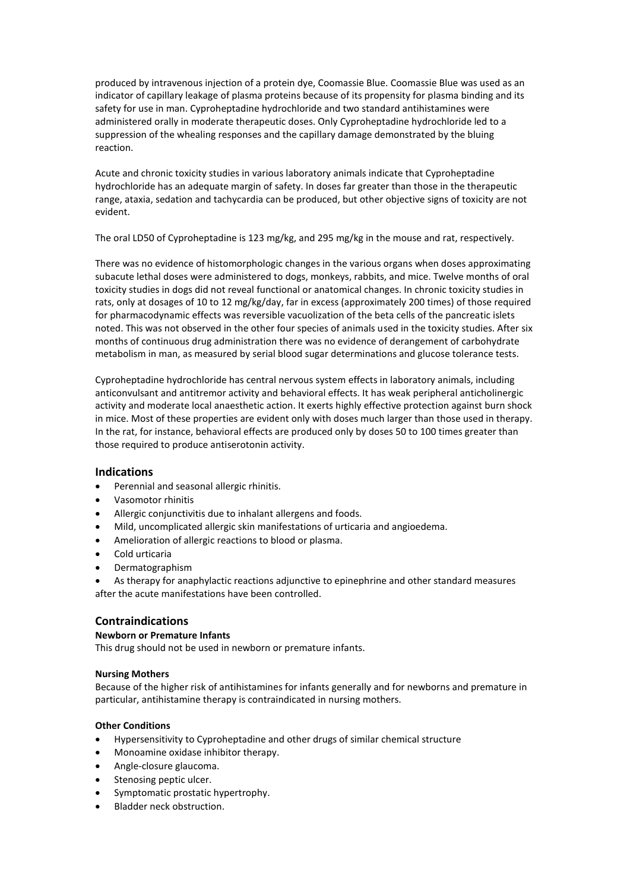produced by intravenous injection of a protein dye, Coomassie Blue. Coomassie Blue was used as an indicator of capillary leakage of plasma proteins because of its propensity for plasma binding and its safety for use in man. Cyproheptadine hydrochloride and two standard antihistamines were administered orally in moderate therapeutic doses. Only Cyproheptadine hydrochloride led to a suppression of the whealing responses and the capillary damage demonstrated by the bluing reaction.

Acute and chronic toxicity studies in various laboratory animals indicate that Cyproheptadine hydrochloride has an adequate margin of safety. In doses far greater than those in the therapeutic range, ataxia, sedation and tachycardia can be produced, but other objective signs of toxicity are not evident.

The oral LD50 of Cyproheptadine is 123 mg/kg, and 295 mg/kg in the mouse and rat, respectively.

There was no evidence of histomorphologic changes in the various organs when doses approximating subacute lethal doses were administered to dogs, monkeys, rabbits, and mice. Twelve months of oral toxicity studies in dogs did not reveal functional or anatomical changes. In chronic toxicity studies in rats, only at dosages of 10 to 12 mg/kg/day, far in excess (approximately 200 times) of those required for pharmacodynamic effects was reversible vacuolization of the beta cells of the pancreatic islets noted. This was not observed in the other four species of animals used in the toxicity studies. After six months of continuous drug administration there was no evidence of derangement of carbohydrate metabolism in man, as measured by serial blood sugar determinations and glucose tolerance tests.

Cyproheptadine hydrochloride has central nervous system effects in laboratory animals, including anticonvulsant and antitremor activity and behavioral effects. It has weak peripheral anticholinergic activity and moderate local anaesthetic action. It exerts highly effective protection against burn shock in mice. Most of these properties are evident only with doses much larger than those used in therapy. In the rat, for instance, behavioral effects are produced only by doses 50 to 100 times greater than those required to produce antiserotonin activity.

## **Indications**

- Perennial and seasonal allergic rhinitis.
- Vasomotor rhinitis
- Allergic conjunctivitis due to inhalant allergens and foods.
- Mild, uncomplicated allergic skin manifestations of urticaria and angioedema.
- Amelioration of allergic reactions to blood or plasma.
- Cold urticaria
- Dermatographism

 As therapy for anaphylactic reactions adjunctive to epinephrine and other standard measures after the acute manifestations have been controlled.

## **Contraindications**

#### **Newborn or Premature Infants**

This drug should not be used in newborn or premature infants.

#### **Nursing Mothers**

Because of the higher risk of antihistamines for infants generally and for newborns and premature in particular, antihistamine therapy is contraindicated in nursing mothers.

#### **Other Conditions**

- Hypersensitivity to Cyproheptadine and other drugs of similar chemical structure
- Monoamine oxidase inhibitor therapy.
- Angle-closure glaucoma.
- Stenosing peptic ulcer.
- Symptomatic prostatic hypertrophy.
- Bladder neck obstruction.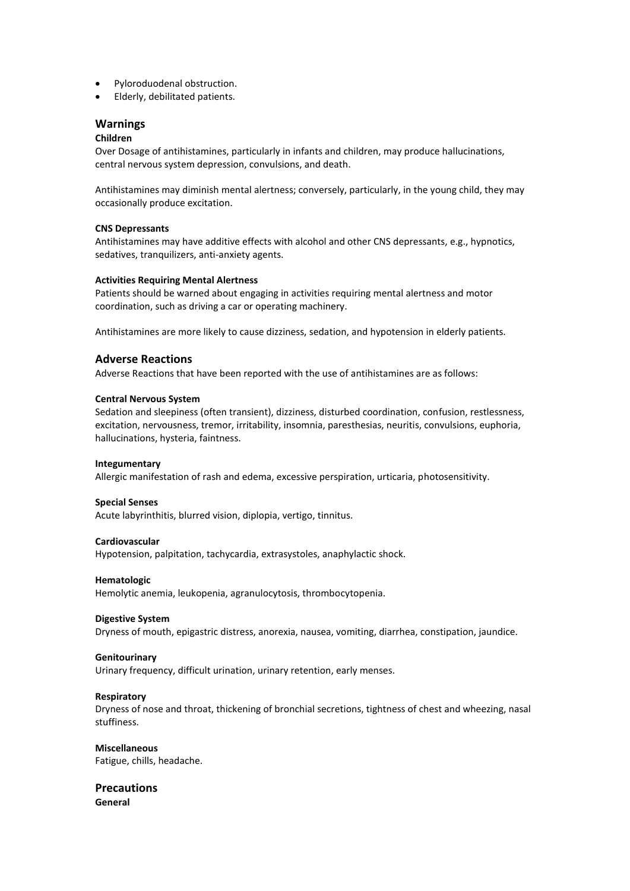- Pyloroduodenal obstruction.
- Elderly, debilitated patients.

## **Warnings**

## **Children**

Over Dosage of antihistamines, particularly in infants and children, may produce hallucinations, central nervous system depression, convulsions, and death.

Antihistamines may diminish mental alertness; conversely, particularly, in the young child, they may occasionally produce excitation.

#### **CNS Depressants**

Antihistamines may have additive effects with alcohol and other CNS depressants, e.g., hypnotics, sedatives, tranquilizers, anti-anxiety agents.

#### **Activities Requiring Mental Alertness**

Patients should be warned about engaging in activities requiring mental alertness and motor coordination, such as driving a car or operating machinery.

Antihistamines are more likely to cause dizziness, sedation, and hypotension in elderly patients.

## **Adverse Reactions**

Adverse Reactions that have been reported with the use of antihistamines are as follows:

#### **Central Nervous System**

Sedation and sleepiness (often transient), dizziness, disturbed coordination, confusion, restlessness, excitation, nervousness, tremor, irritability, insomnia, paresthesias, neuritis, convulsions, euphoria, hallucinations, hysteria, faintness.

#### **Integumentary**

Allergic manifestation of rash and edema, excessive perspiration, urticaria, photosensitivity.

#### **Special Senses**

Acute labyrinthitis, blurred vision, diplopia, vertigo, tinnitus.

#### **Cardiovascular**

Hypotension, palpitation, tachycardia, extrasystoles, anaphylactic shock.

#### **Hematologic**

Hemolytic anemia, leukopenia, agranulocytosis, thrombocytopenia.

#### **Digestive System**

Dryness of mouth, epigastric distress, anorexia, nausea, vomiting, diarrhea, constipation, jaundice.

#### **Genitourinary**

Urinary frequency, difficult urination, urinary retention, early menses.

#### **Respiratory**

Dryness of nose and throat, thickening of bronchial secretions, tightness of chest and wheezing, nasal stuffiness.

#### **Miscellaneous** Fatigue, chills, headache.

**Precautions General**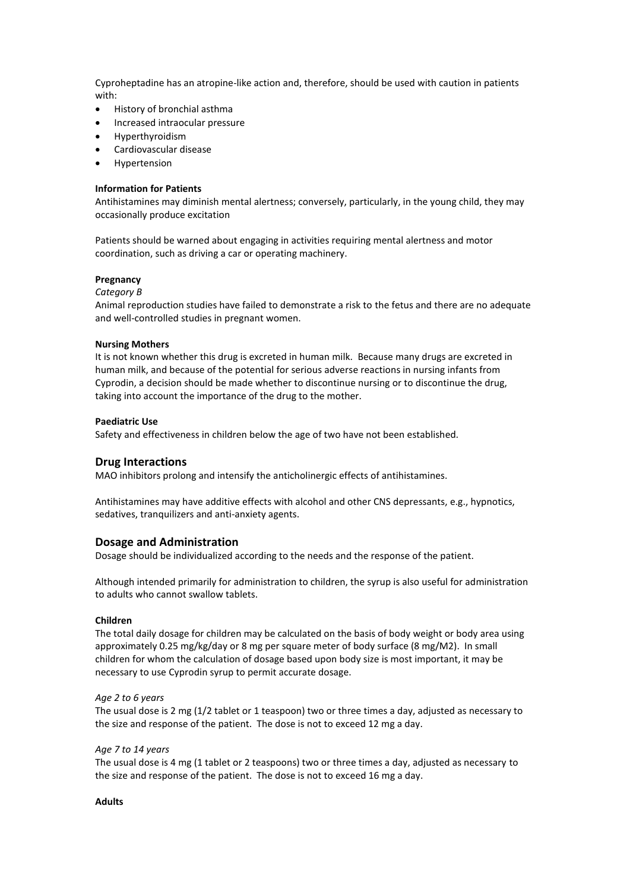Cyproheptadine has an atropine-like action and, therefore, should be used with caution in patients with:

- History of bronchial asthma
- Increased intraocular pressure
- Hyperthyroidism
- Cardiovascular disease
- Hypertension

#### **Information for Patients**

Antihistamines may diminish mental alertness; conversely, particularly, in the young child, they may occasionally produce excitation

Patients should be warned about engaging in activities requiring mental alertness and motor coordination, such as driving a car or operating machinery.

#### **Pregnancy**

#### *Category B*

Animal reproduction studies have failed to demonstrate a risk to the fetus and there are no adequate and well-controlled studies in pregnant women.

#### **Nursing Mothers**

It is not known whether this drug is excreted in human milk. Because many drugs are excreted in human milk, and because of the potential for serious adverse reactions in nursing infants from Cyprodin, a decision should be made whether to discontinue nursing or to discontinue the drug, taking into account the importance of the drug to the mother.

#### **Paediatric Use**

Safety and effectiveness in children below the age of two have not been established*.*

#### **Drug Interactions**

MAO inhibitors prolong and intensify the anticholinergic effects of antihistamines.

Antihistamines may have additive effects with alcohol and other CNS depressants, e.g., hypnotics, sedatives, tranquilizers and anti-anxiety agents.

#### **Dosage and Administration**

Dosage should be individualized according to the needs and the response of the patient.

Although intended primarily for administration to children, the syrup is also useful for administration to adults who cannot swallow tablets.

#### **Children**

The total daily dosage for children may be calculated on the basis of body weight or body area using approximately 0.25 mg/kg/day or 8 mg per square meter of body surface (8 mg/M2). In small children for whom the calculation of dosage based upon body size is most important, it may be necessary to use Cyprodin syrup to permit accurate dosage.

#### *Age 2 to 6 years*

The usual dose is 2 mg (1/2 tablet or 1 teaspoon) two or three times a day, adjusted as necessary to the size and response of the patient. The dose is not to exceed 12 mg a day.

#### *Age 7 to 14 years*

The usual dose is 4 mg (1 tablet or 2 teaspoons) two or three times a day, adjusted as necessary to the size and response of the patient. The dose is not to exceed 16 mg a day.

#### **Adults**